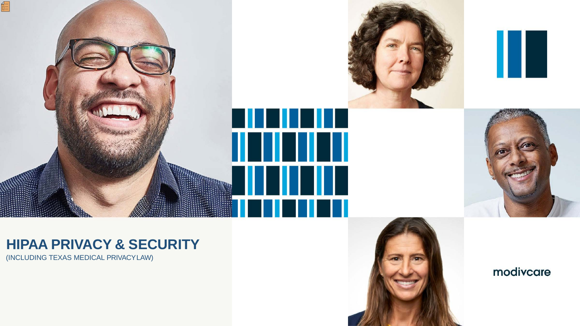

## **HIPAA PRIVACY & SECURITY**

(INCLUDING TEXAS MEDICAL PRIVACYLAW)







## modivcare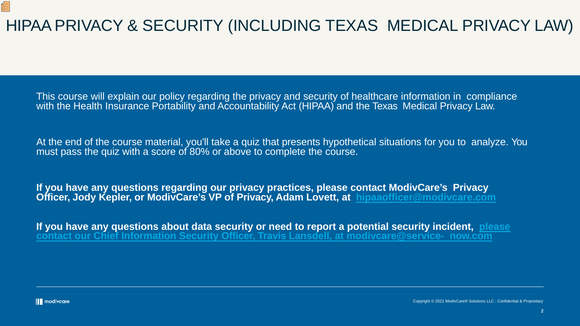# HIPAA PRIVACY & SECURITY (INCLUDING TEXAS MEDICAL PRIVACY LAW)

This course will explain our policy regarding the privacy and security of healthcare information in compliance with the Health Insurance Portability and Accountability Act (HIPAA) and the Texas Medical Privacy Law.

At the end of the course material, you'll take a quiz that presents hypothetical situations for you to analyze. You must pass the quiz with a score of 80% or above to complete the course.

**If you have any questions regarding our privacy practices, please contact ModivCare's Privacy Officer, Jody Kepler, or ModivCare's VP of Privacy, Adam Lovett, at [hipaaofficer@modivcare.com](mailto:hipaaofficer@modivcare.com)**

**[If you have any questions about data security or need to report a potential security incident, please](mailto:modivcare@service-now.com)  contact our Chief Information Security Officer, Travis Lansdell, at modivcare@service- now.com**

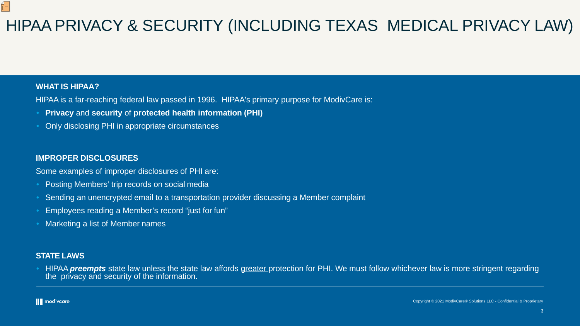### **WHAT IS HIPAA?**

佢

HIPAA is a far-reaching federal law passed in 1996. HIPAA's primary purpose for ModivCare is:

- **Privacy** and **security** of **protected health information (PHI)**
- Only disclosing PHI in appropriate circumstances

### **IMPROPER DISCLOSURES**

Some examples of improper disclosures of PHI are:

- Posting Members' trip records on social media
- Sending an unencrypted email to a transportation provider discussing a Member complaint
- Employees reading a Member's record "just for fun"
- Marketing a list of Member names

### **STATE LAWS**

• HIPAA *preempts* state law unless the state law affords greater protection for PHI. We must follow whichever law is more stringent regarding the privacy and security of the information.

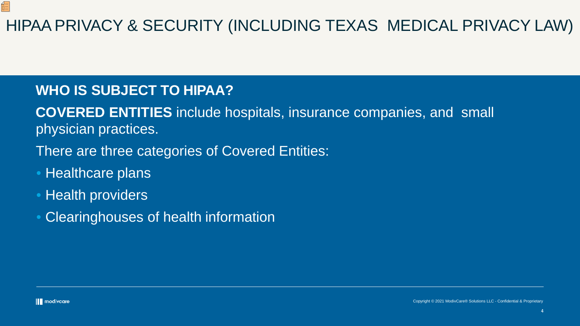# HIPAA PRIVACY & SECURITY (INCLUDING TEXAS MEDICAL PRIVACY LAW)

- There are three categories of Covered Entities:
- Healthcare plans
- Health providers
- Clearinghouses of health information

但



## **WHO IS SUBJECT TO HIPAA?**

**COVERED ENTITIES** include hospitals, insurance companies, and small physician practices.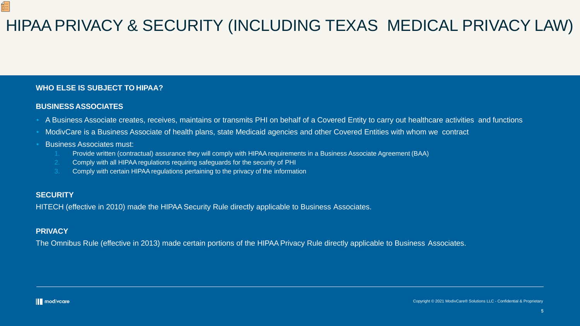### **WHO ELSE IS SUBJECT TO HIPAA?**

### **BUSINESS ASSOCIATES**

- A Business Associate creates, receives, maintains or transmits PHI on behalf of a Covered Entity to carry out healthcare activities and functions
- ModivCare is a Business Associate of health plans, state Medicaid agencies and other Covered Entities with whom we contract
- Business Associates must:
	- 1. Provide written (contractual) assurance they will comply with HIPAA requirements in a Business Associate Agreement (BAA)
	- 2. Comply with all HIPAA regulations requiring safeguards for the security of PHI
	- 3. Comply with certain HIPAA regulations pertaining to the privacy of the information

### **SECURITY**

佢

HITECH (effective in 2010) made the HIPAA Security Rule directly applicable to Business Associates.

### **PRIVACY**

The Omnibus Rule (effective in 2013) made certain portions of the HIPAA Privacy Rule directly applicable to Business Associates.

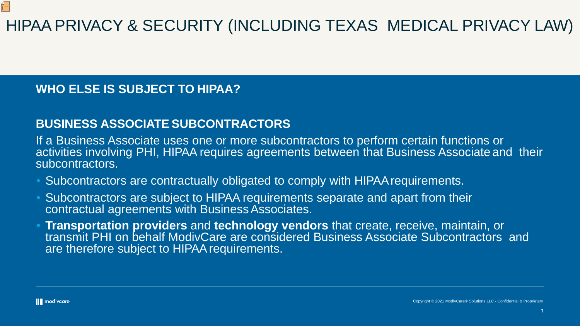# HIPAA PRIVACY & SECURITY (INCLUDING TEXAS MEDICAL PRIVACY LAW)

## **WHO ELSE IS SUBJECT TO HIPAA?**

## **BUSINESS ASSOCIATE SUBCONTRACTORS**

If a Business Associate uses one or more subcontractors to perform certain functions or activities involving PHI, HIPAA requires agreements between that Business Associate and their subcontractors.

- Subcontractors are contractually obligated to comply with HIPAA requirements.
- Subcontractors are subject to HIPAA requirements separate and apart from their contractual agreements with Business Associates.
- **Transportation providers** and **technology vendors** that create, receive, maintain, or transmit PHI on behalf ModivCare are considered Business Associate Subcontractors and are therefore subject to HIPAA requirements.

Œ

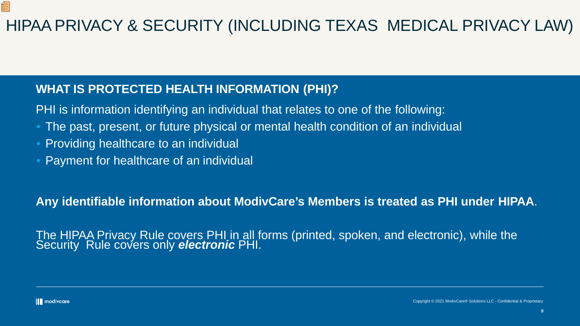## **WHAT IS PROTECTED HEALTH INFORMATION (PHI)?**

PHI is information identifying an individual that relates to one of the following:

- The past, present, or future physical or mental health condition of an individual
- Providing healthcare to an individual
- Payment for healthcare of an individual

**Any identifiable information about ModivCare's Members is treated as PHI under HIPAA**.

The HIPAA Privacy Rule covers PHI in all forms (printed, spoken, and electronic), while the Security Rule covers only *electronic* PHI.



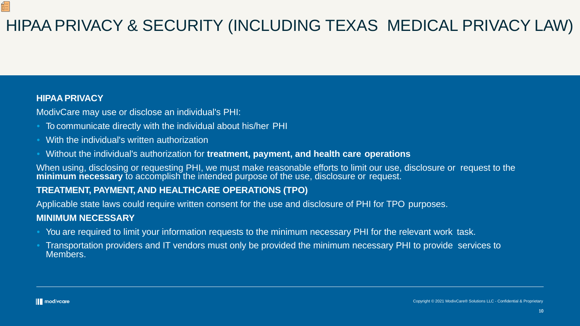### **HIPAAPRIVACY**

Œ

ModivCare may use or disclose an individual's PHI:

- To communicate directly with the individual about his/her PHI
- With the individual's written authorization
- Without the individual's authorization for **treatment, payment, and health care operations**

Applicable state laws could require written consent for the use and disclosure of PHI for TPO purposes. **MINIMUM NECESSARY**

- You are required to limit your information requests to the minimum necessary PHI for the relevant work task.
- Transportation providers and IT vendors must only be provided the minimum necessary PHI to provide services to Members.



When using, disclosing or requesting PHI, we must make reasonable efforts to limit our use, disclosure or request to the **minimum necessary** to accomplish the intended purpose of the use, disclosure or request.

### **TREATMENT, PAYMENT, AND HEALTHCARE OPERATIONS (TPO)**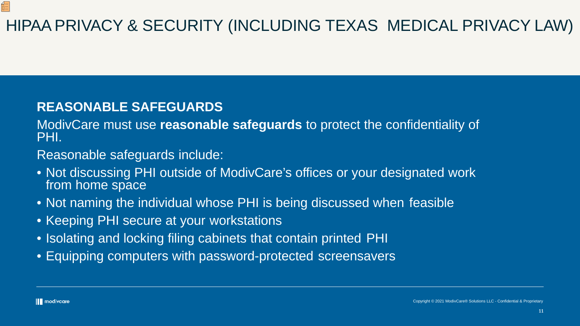# HIPAA PRIVACY & SECURITY (INCLUDING TEXAS MEDICAL PRIVACY LAW)

## **REASONABLE SAFEGUARDS**

ModivCare must use **reasonable safeguards** to protect the confidentiality of PHI.

Reasonable safeguards include:

- Not discussing PHI outside of ModivCare's offices or your designated work from home space
- Not naming the individual whose PHI is being discussed when feasible
- Keeping PHI secure at your workstations
- Isolating and locking filing cabinets that contain printed PHI
- Equipping computers with password-protected screensavers

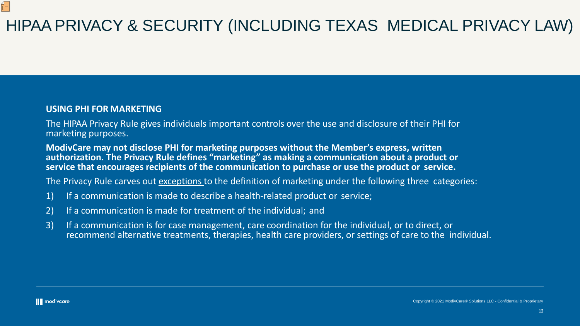# HIPAA PRIVACY & SECURITY (INCLUDING TEXAS MEDICAL PRIVACY LAW)

### **USING PHI FOR MARKETING**

The HIPAA Privacy Rule gives individuals important controls over the use and disclosure of their PHI for marketing purposes.

**ModivCare may not disclose PHI for marketing purposes without the Member's express, written authorization. The Privacy Rule defines "marketing" as making a communication about a product or service that encourages recipients of the communication to purchase or use the product or service.**

The Privacy Rule carves out exceptions to the definition of marketing under the following three categories:

- 1) If a communication is made to describe a health-related product or service;
- 2) If a communication is made for treatment of the individual; and
- 3) If a communication is for case management, care coordination for the individual, or to direct, or recommend alternative treatments, therapies, health care providers, or settings of care to the individual.

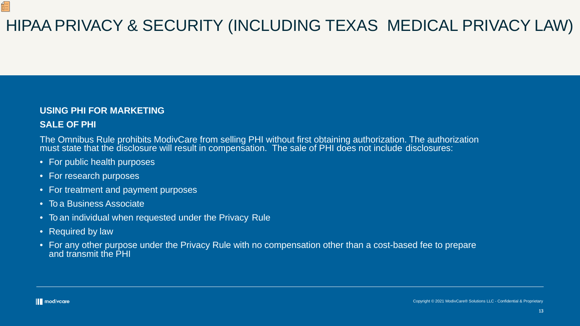# HIPAA PRIVACY & SECURITY (INCLUDING TEXAS MEDICAL PRIVACY LAW)

## **USING PHI FOR MARKETING**

### **SALE OF PHI**

佰

The Omnibus Rule prohibits ModivCare from selling PHI without first obtaining authorization. The authorization must state that the disclosure will result in compensation. The sale of PHI does not include disclosures:

- For public health purposes
- For research purposes
- For treatment and payment purposes
- To a Business Associate
- To an individual when requested under the Privacy Rule
- Required by law
- For any other purpose under the Privacy Rule with no compensation other than a cost-based fee to prepare and transmit the PHI

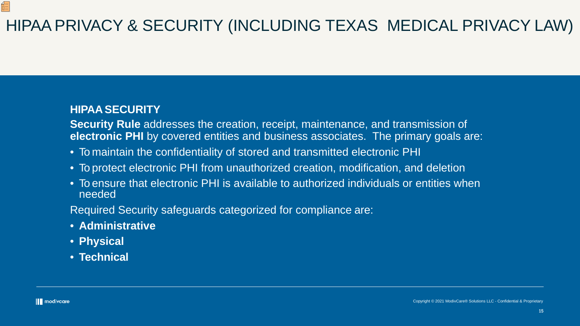# HIPAA PRIVACY & SECURITY (INCLUDING TEXAS MEDICAL PRIVACY LAW)

## **HIPAA SECURITY**

**Security Rule** addresses the creation, receipt, maintenance, and transmission of **electronic PHI** by covered entities and business associates. The primary goals are:

- To maintain the confidentiality of stored and transmitted electronic PHI
- To protect electronic PHI from unauthorized creation, modification, and deletion
- To ensure that electronic PHI is available to authorized individuals or entities when needed

Required Security safeguards categorized for compliance are:

- **Administrative**
- **Physical**
- **Technical**

Œ

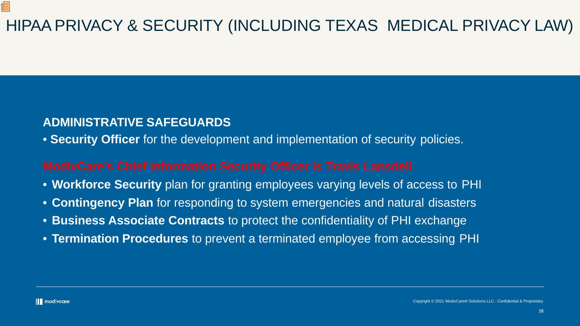# HIPAA PRIVACY & SECURITY (INCLUDING TEXAS MEDICAL PRIVACY LAW)

## **ADMINISTRATIVE SAFEGUARDS**

• **Security Officer** for the development and implementation of security policies.

- **Workforce Security** plan for granting employees varying levels of access to PHI
- **Contingency Plan** for responding to system emergencies and natural disasters
- **Business Associate Contracts** to protect the confidentiality of PHI exchange
- **Termination Procedures** to prevent a terminated employee from accessing PHI

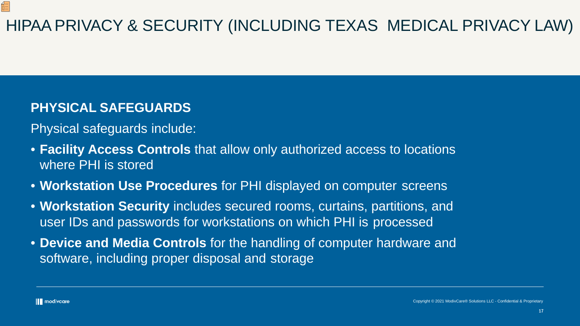# HIPAA PRIVACY & SECURITY (INCLUDING TEXAS MEDICAL PRIVACY LAW)

## **PHYSICAL SAFEGUARDS**

Physical safeguards include:

- **Facility Access Controls** that allow only authorized access to locations where PHI is stored
- **Workstation Use Procedures** for PHI displayed on computer screens
- **Workstation Security** includes secured rooms, curtains, partitions, and user IDs and passwords for workstations on which PHI is processed
- **Device and Media Controls** for the handling of computer hardware and software, including proper disposal and storage



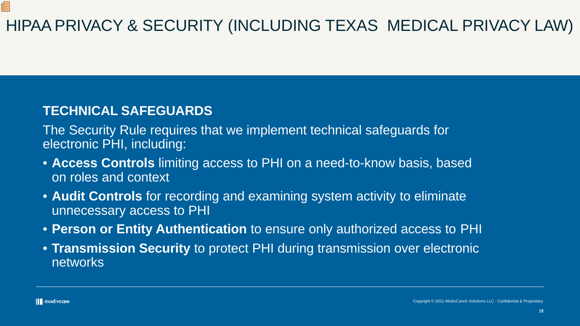# HIPAA PRIVACY & SECURITY (INCLUDING TEXAS MEDICAL PRIVACY LAW)

## **TECHNICAL SAFEGUARDS**

The Security Rule requires that we implement technical safeguards for electronic PHI, including:

- **Access Controls** limiting access to PHI on a need-to-know basis, based on roles and context
- **Audit Controls** for recording and examining system activity to eliminate unnecessary access to PHI
- **Person or Entity Authentication** to ensure only authorized access to PHI
- **Transmission Security** to protect PHI during transmission over electronic networks

佰

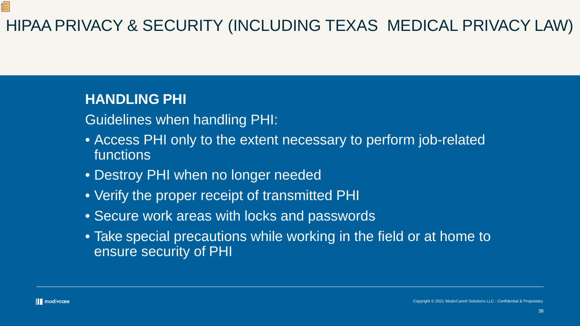20

# HIPAA PRIVACY & SECURITY (INCLUDING TEXAS MEDICAL PRIVACY LAW)

## **HANDLING PHI**

Guidelines when handling PHI:

- Access PHI only to the extent necessary to perform job-related functions
- Destroy PHI when no longer needed
- Verify the proper receipt of transmitted PHI
- Secure work areas with locks and passwords
- Take special precautions while working in the field or at home to ensure security of PHI

佰

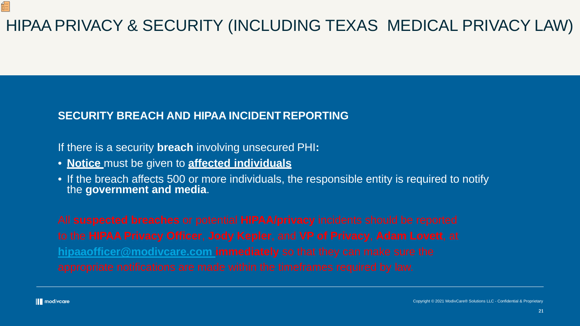21

# HIPAA PRIVACY & SECURITY (INCLUDING TEXAS MEDICAL PRIVACY LAW)

## **SECURITY BREACH AND HIPAA INCIDENT REPORTING**

If there is a security **breach** involving unsecured PHI**:**

- **Notice** must be given to **affected individuals**
- If the breach affects 500 or more individuals, the responsible entity is required to notify the **government and media**.

**[hipaaofficer@modivcare.com i](mailto:hipaaofficer@logisticare.com)mmediately** so that they can make sure the



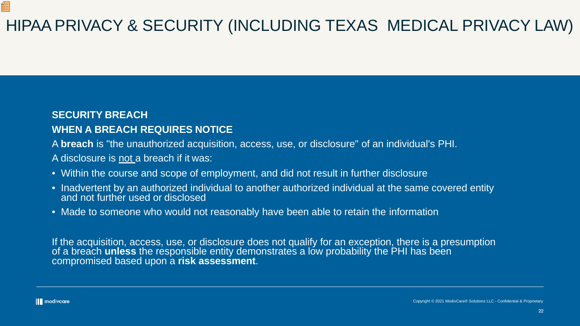# HIPAA PRIVACY & SECURITY (INCLUDING TEXAS MEDICAL PRIVACY LAW)

### **SECURITY BREACH**

- Within the course and scope of employment, and did not result in further disclosure
- Inadvertent by an authorized individual to another authorized individual at the same covered entity and not further used or disclosed
- Made to someone who would not reasonably have been able to retain the information

## **WHEN A BREACH REQUIRES NOTICE**

A **breach** is "the unauthorized acquisition, access, use, or disclosure" of an individual's PHI. A disclosure is not a breach if it was:

If the acquisition, access, use, or disclosure does not qualify for an exception, there is a presumption of a breach **unless** the responsible entity demonstrates a low probability the PHI has been compromised based upon a **risk assessment**.

Œ

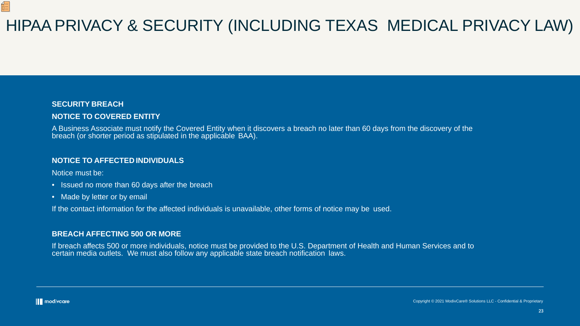# HIPAA PRIVACY & SECURITY (INCLUDING TEXAS MEDICAL PRIVACY LAW)

### **SECURITY BREACH NOTICE TO COVERED ENTITY**

- Issued no more than 60 days after the breach
- Made by letter or by email

A Business Associate must notify the Covered Entity when it discovers a breach no later than 60 days from the discovery of the breach (or shorter period as stipulated in the applicable BAA).

### **NOTICE TO AFFECTED INDIVIDUALS**

Notice must be:

佢

If the contact information for the affected individuals is unavailable, other forms of notice may be used.

### **BREACH AFFECTING 500 OR MORE**

If breach affects 500 or more individuals, notice must be provided to the U.S. Department of Health and Human Services and to certain media outlets. We must also follow any applicable state breach notification laws.

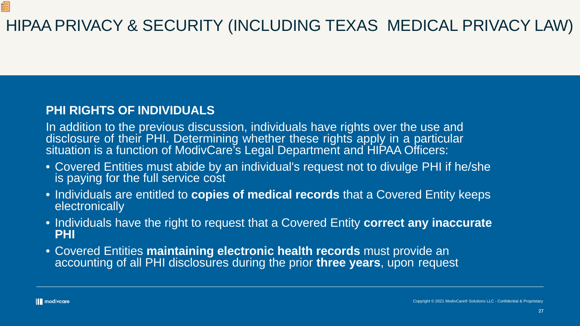# HIPAA PRIVACY & SECURITY (INCLUDING TEXAS MEDICAL PRIVACY LAW)

## **PHI RIGHTS OF INDIVIDUALS**

In addition to the previous discussion, individuals have rights over the use and disclosure of their PHI. Determining whether these rights apply in a particular situation is a function of ModivCare's Legal Department and HIPAA Officers:

- Covered Entities must abide by an individual's request not to divulge PHI if he/she is paying for the full service cost
- Individuals are entitled to **copies of medical records** that a Covered Entity keeps electronically
- Individuals have the right to request that a Covered Entity **correct any inaccurate PHI**
- Covered Entities **maintaining electronic health records** must provide an accounting of all PHI disclosures during the prior **three years**, upon request

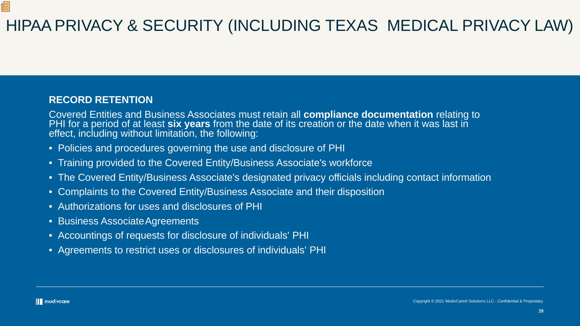## **RECORD RETENTION**

Covered Entities and Business Associates must retain all **compliance documentation** relating to PHI for a period of at least **six years** from the date of its creation or the date when it was last in effect, including without limitation, the following:

- Policies and procedures governing the use and disclosure of PHI
- Training provided to the Covered Entity/Business Associate's workforce
- The Covered Entity/Business Associate's designated privacy officials including contact information
- Complaints to the Covered Entity/Business Associate and their disposition
- Authorizations for uses and disclosures of PHI
- Business Associate Agreements
- Accountings of requests for disclosure of individuals' PHI
- Agreements to restrict uses or disclosures of individuals' PHI

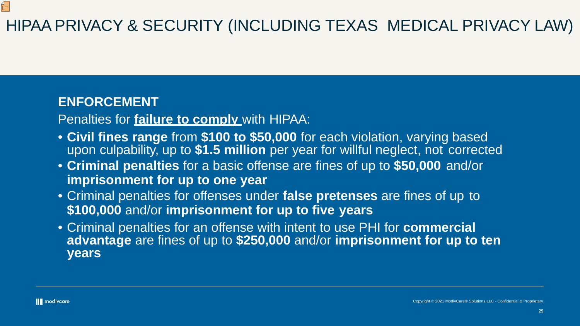# HIPAA PRIVACY & SECURITY (INCLUDING TEXAS MEDICAL PRIVACY LAW)

## **ENFORCEMENT**

Penalties for **failure to comply** with HIPAA:

- **Civil fines range** from **\$100 to \$50,000** for each violation, varying based upon culpability, up to **\$1.5 million** per year for willful neglect, not corrected
- **Criminal penalties** for a basic offense are fines of up to **\$50,000** and/or **imprisonment for up to one year**
- Criminal penalties for offenses under **false pretenses** are fines of up to **\$100,000** and/or **imprisonment for up to five years**
- Criminal penalties for an offense with intent to use PHI for **commercial advantage** are fines of up to **\$250,000** and/or **imprisonment for up to ten years**

Œ

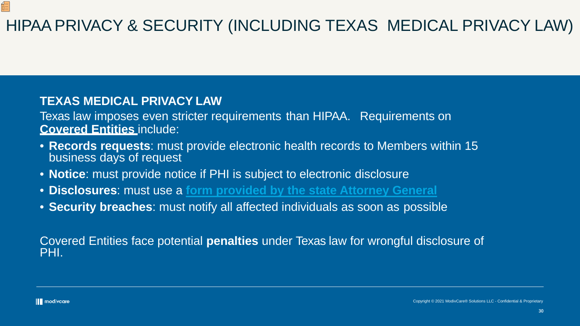# HIPAA PRIVACY & SECURITY (INCLUDING TEXAS MEDICAL PRIVACY LAW)

## **TEXAS MEDICAL PRIVACY LAW**

Texas law imposes even stricter requirements than HIPAA. Requirements on **Covered Entities** include:

- **Records requests**: must provide electronic health records to Members within 15 business days of request
- **Notice**: must provide notice if PHI is subject to electronic disclosure
- **Disclosures**: must use a **[form provided by the state Attorney](http://www.oag.state.tx.us/AG_Publications/pdfs/hb300_auth_form.pdf) General**
- **Security breaches**: must notify all affected individuals as soon as possible

Covered Entities face potential **penalties** under Texas law for wrongful disclosure of PHI.

佰